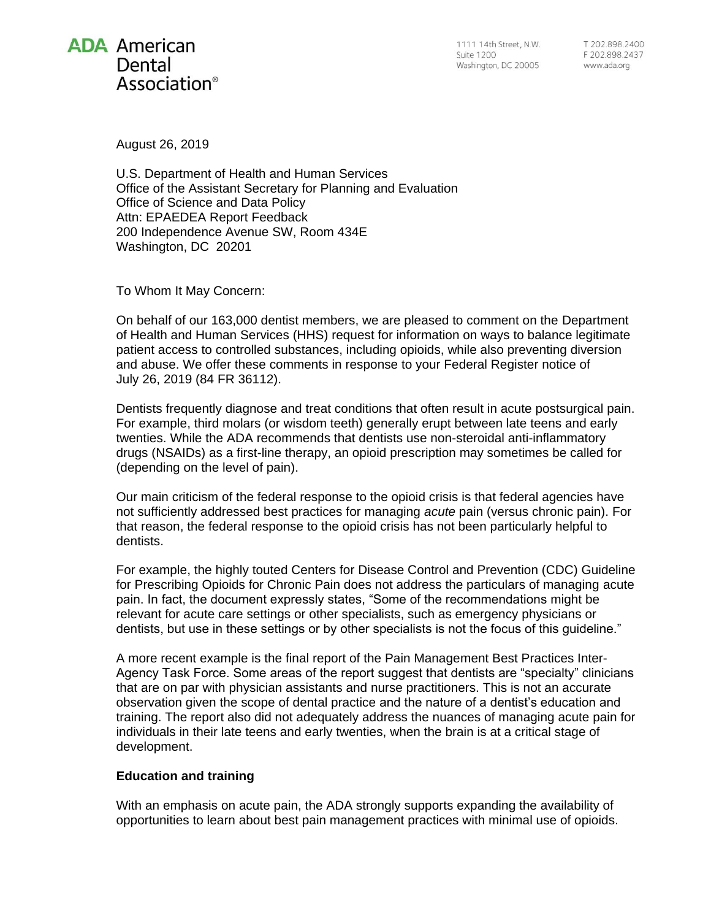

August 26, 2019

U.S. Department of Health and Human Services Office of the Assistant Secretary for Planning and Evaluation Office of Science and Data Policy Attn: EPAEDEA Report Feedback 200 Independence Avenue SW, Room 434E Washington, DC 20201

To Whom It May Concern:

On behalf of our 163,000 dentist members, we are pleased to comment on the Department of Health and Human Services (HHS) request for information on ways to balance legitimate patient access to controlled substances, including opioids, while also preventing diversion and abuse. We offer these comments in response to your Federal Register notice of July 26, 2019 (84 FR 36112).

Dentists frequently diagnose and treat conditions that often result in acute postsurgical pain. For example, third molars (or wisdom teeth) generally erupt between late teens and early twenties. While the ADA recommends that dentists use non-steroidal anti-inflammatory drugs (NSAIDs) as a first-line therapy, an opioid prescription may sometimes be called for (depending on the level of pain).

Our main criticism of the federal response to the opioid crisis is that federal agencies have not sufficiently addressed best practices for managing *acute* pain (versus chronic pain). For that reason, the federal response to the opioid crisis has not been particularly helpful to dentists.

For example, the highly touted Centers for Disease Control and Prevention (CDC) Guideline for Prescribing Opioids for Chronic Pain does not address the particulars of managing acute pain. In fact, the document expressly states, "Some of the recommendations might be relevant for acute care settings or other specialists, such as emergency physicians or dentists, but use in these settings or by other specialists is not the focus of this guideline."

A more recent example is the final report of the Pain Management Best Practices Inter-Agency Task Force. Some areas of the report suggest that dentists are "specialty" clinicians that are on par with physician assistants and nurse practitioners. This is not an accurate observation given the scope of dental practice and the nature of a dentist's education and training. The report also did not adequately address the nuances of managing acute pain for individuals in their late teens and early twenties, when the brain is at a critical stage of development.

## **Education and training**

With an emphasis on acute pain, the ADA strongly supports expanding the availability of opportunities to learn about best pain management practices with minimal use of opioids.